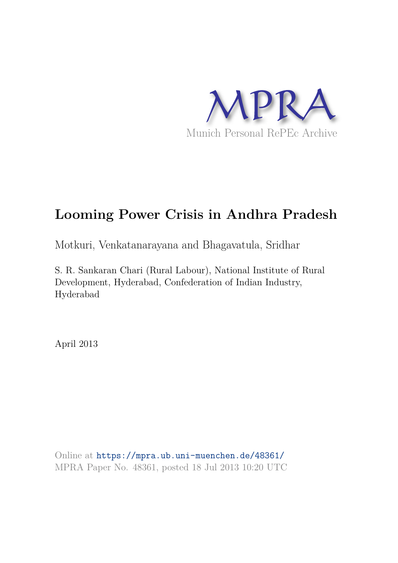

# **Looming Power Crisis in Andhra Pradesh**

Motkuri, Venkatanarayana and Bhagavatula, Sridhar

S. R. Sankaran Chari (Rural Labour), National Institute of Rural Development, Hyderabad, Confederation of Indian Industry, Hyderabad

April 2013

Online at https://mpra.ub.uni-muenchen.de/48361/ MPRA Paper No. 48361, posted 18 Jul 2013 10:20 UTC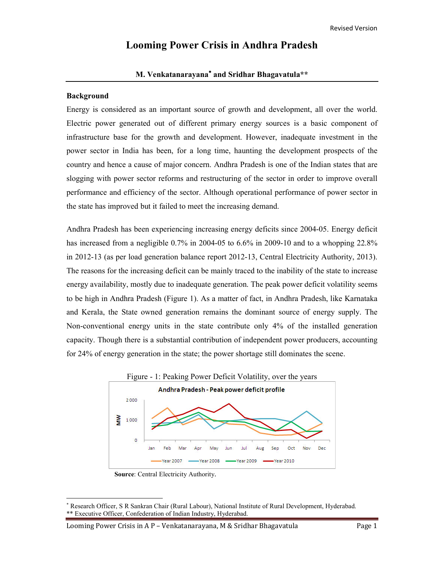# **Looming Power Crisis in Andhra Pradesh**

## **M. Venkatanarayana**<sup>∗</sup> **and Sridhar Bhagavatula\*\***

#### **Background**

 $\overline{a}$ 

Energy is considered as an important source of growth and development, all over the world. Electric power generated out of different primary energy sources is a basic component of infrastructure base for the growth and development. However, inadequate investment in the power sector in India has been, for a long time, haunting the development prospects of the country and hence a cause of major concern. Andhra Pradesh is one of the Indian states that are slogging with power sector reforms and restructuring of the sector in order to improve overall performance and efficiency of the sector. Although operational performance of power sector in the state has improved but it failed to meet the increasing demand.

Andhra Pradesh has been experiencing increasing energy deficits since 2004-05. Energy deficit has increased from a negligible 0.7% in 2004-05 to 6.6% in 2009-10 and to a whopping 22.8% in 2012-13 (as per load generation balance report 2012-13, Central Electricity Authority, 2013). The reasons for the increasing deficit can be mainly traced to the inability of the state to increase energy availability, mostly due to inadequate generation. The peak power deficit volatility seems to be high in Andhra Pradesh (Figure 1). As a matter of fact, in Andhra Pradesh, like Karnataka and Kerala, the State owned generation remains the dominant source of energy supply. The Non-conventional energy units in the state contribute only 4% of the installed generation capacity. Though there is a substantial contribution of independent power producers, accounting for 24% of energy generation in the state; the power shortage still dominates the scene.



**Source**: Central Electricity Authority.

<sup>∗</sup> Research Officer, S R Sankran Chair (Rural Labour), National Institute of Rural Development, Hyderabad. \*\* Executive Officer, Confederation of Indian Industry, Hyderabad.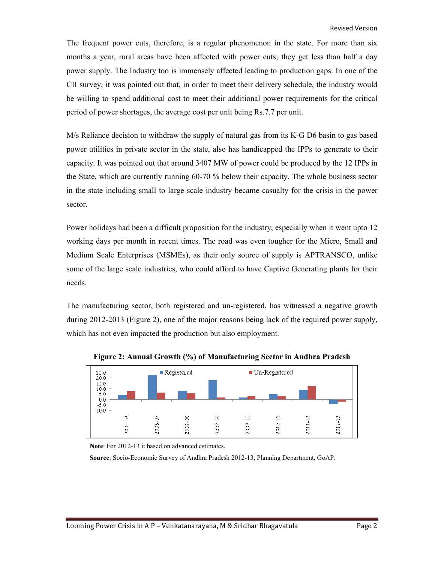The frequent power cuts, therefore, is a regular phenomenon in the state. For more than six months a year, rural areas have been affected with power cuts; they get less than half a day power supply. The Industry too is immensely affected leading to production gaps. In one of the CII survey, it was pointed out that, in order to meet their delivery schedule, the industry would be willing to spend additional cost to meet their additional power requirements for the critical period of power shortages, the average cost per unit being Rs.7.7 per unit.

M/s Reliance decision to withdraw the supply of natural gas from its K-G D6 basin to gas based power utilities in private sector in the state, also has handicapped the IPPs to generate to their capacity. It was pointed out that around 3407 MW of power could be produced by the 12 IPPs in the State, which are currently running 60-70 % below their capacity. The whole business sector in the state including small to large scale industry became casualty for the crisis in the power sector.

Power holidays had been a difficult proposition for the industry, especially when it went upto 12 working days per month in recent times. The road was even tougher for the Micro, Small and Medium Scale Enterprises (MSMEs), as their only source of supply is APTRANSCO, unlike some of the large scale industries, who could afford to have Captive Generating plants for their needs.

The manufacturing sector, both registered and un-registered, has witnessed a negative growth during 2012-2013 (Figure 2), one of the major reasons being lack of the required power supply, which has not even impacted the production but also employment.



**Figure 2: Annual Growth (%) of Manufacturing Sector in Andhra Pradesh** 

**Note**: For 2012-13 it based on advanced estimates.

**Source**: Socio-Economic Survey of Andhra Pradesh 2012-13, Planning Department, GoAP.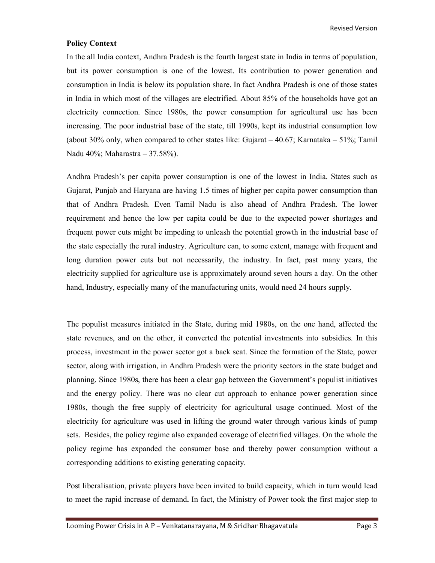Revised Version

#### **Policy Context**

In the all India context, Andhra Pradesh is the fourth largest state in India in terms of population, but its power consumption is one of the lowest. Its contribution to power generation and consumption in India is below its population share. In fact Andhra Pradesh is one of those states in India in which most of the villages are electrified. About 85% of the households have got an electricity connection. Since 1980s, the power consumption for agricultural use has been increasing. The poor industrial base of the state, till 1990s, kept its industrial consumption low (about 30% only, when compared to other states like: Gujarat – 40.67; Karnataka – 51%; Tamil Nadu 40%; Maharastra – 37.58%).

Andhra Pradesh's per capita power consumption is one of the lowest in India. States such as Gujarat, Punjab and Haryana are having 1.5 times of higher per capita power consumption than that of Andhra Pradesh. Even Tamil Nadu is also ahead of Andhra Pradesh. The lower requirement and hence the low per capita could be due to the expected power shortages and frequent power cuts might be impeding to unleash the potential growth in the industrial base of the state especially the rural industry. Agriculture can, to some extent, manage with frequent and long duration power cuts but not necessarily, the industry. In fact, past many years, the electricity supplied for agriculture use is approximately around seven hours a day. On the other hand, Industry, especially many of the manufacturing units, would need 24 hours supply.

The populist measures initiated in the State, during mid 1980s, on the one hand, affected the state revenues, and on the other, it converted the potential investments into subsidies. In this process, investment in the power sector got a back seat. Since the formation of the State, power sector, along with irrigation, in Andhra Pradesh were the priority sectors in the state budget and planning. Since 1980s, there has been a clear gap between the Government's populist initiatives and the energy policy. There was no clear cut approach to enhance power generation since 1980s, though the free supply of electricity for agricultural usage continued. Most of the electricity for agriculture was used in lifting the ground water through various kinds of pump sets. Besides, the policy regime also expanded coverage of electrified villages. On the whole the policy regime has expanded the consumer base and thereby power consumption without a corresponding additions to existing generating capacity.

Post liberalisation, private players have been invited to build capacity, which in turn would lead to meet the rapid increase of demand**.** In fact, the Ministry of Power took the first major step to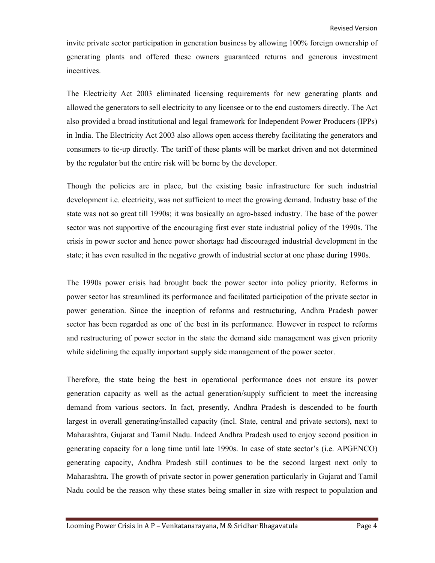invite private sector participation in generation business by allowing 100% foreign ownership of generating plants and offered these owners guaranteed returns and generous investment incentives.

The Electricity Act 2003 eliminated licensing requirements for new generating plants and allowed the generators to sell electricity to any licensee or to the end customers directly. The Act also provided a broad institutional and legal framework for Independent Power Producers (IPPs) in India. The Electricity Act 2003 also allows open access thereby facilitating the generators and consumers to tie-up directly. The tariff of these plants will be market driven and not determined by the regulator but the entire risk will be borne by the developer.

Though the policies are in place, but the existing basic infrastructure for such industrial development i.e. electricity, was not sufficient to meet the growing demand. Industry base of the state was not so great till 1990s; it was basically an agro-based industry. The base of the power sector was not supportive of the encouraging first ever state industrial policy of the 1990s. The crisis in power sector and hence power shortage had discouraged industrial development in the state; it has even resulted in the negative growth of industrial sector at one phase during 1990s.

The 1990s power crisis had brought back the power sector into policy priority. Reforms in power sector has streamlined its performance and facilitated participation of the private sector in power generation. Since the inception of reforms and restructuring, Andhra Pradesh power sector has been regarded as one of the best in its performance. However in respect to reforms and restructuring of power sector in the state the demand side management was given priority while sidelining the equally important supply side management of the power sector.

Therefore, the state being the best in operational performance does not ensure its power generation capacity as well as the actual generation/supply sufficient to meet the increasing demand from various sectors. In fact, presently, Andhra Pradesh is descended to be fourth largest in overall generating/installed capacity (incl. State, central and private sectors), next to Maharashtra, Gujarat and Tamil Nadu. Indeed Andhra Pradesh used to enjoy second position in generating capacity for a long time until late 1990s. In case of state sector's (i.e. APGENCO) generating capacity, Andhra Pradesh still continues to be the second largest next only to Maharashtra. The growth of private sector in power generation particularly in Gujarat and Tamil Nadu could be the reason why these states being smaller in size with respect to population and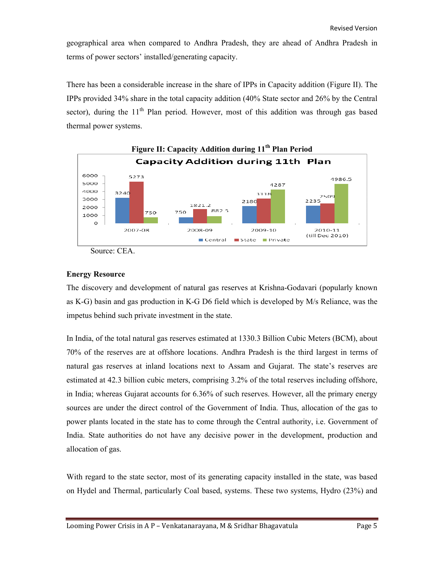geographical area when compared to Andhra Pradesh, they are ahead of Andhra Pradesh in terms of power sectors' installed/generating capacity.

There has been a considerable increase in the share of IPPs in Capacity addition (Figure II). The IPPs provided 34% share in the total capacity addition (40% State sector and 26% by the Central sector), during the  $11<sup>th</sup>$  Plan period. However, most of this addition was through gas based thermal power systems.



Source: CEA.

#### **Energy Resource**

The discovery and development of natural gas reserves at Krishna-Godavari (popularly known as K-G) basin and gas production in K-G D6 field which is developed by M/s Reliance, was the impetus behind such private investment in the state.

In India, of the total natural gas reserves estimated at 1330.3 Billion Cubic Meters (BCM), about 70% of the reserves are at offshore locations. Andhra Pradesh is the third largest in terms of natural gas reserves at inland locations next to Assam and Gujarat. The state's reserves are estimated at 42.3 billion cubic meters, comprising 3.2% of the total reserves including offshore, in India; whereas Gujarat accounts for 6.36% of such reserves. However, all the primary energy sources are under the direct control of the Government of India. Thus, allocation of the gas to power plants located in the state has to come through the Central authority, i.e. Government of India. State authorities do not have any decisive power in the development, production and allocation of gas.

With regard to the state sector, most of its generating capacity installed in the state, was based on Hydel and Thermal, particularly Coal based, systems. These two systems, Hydro (23%) and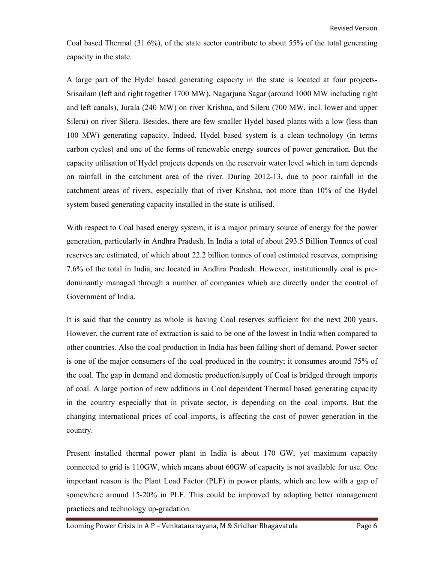Coal based Thermal (31.6%), of the state sector contribute to about 55% of the total generating capacity in the state.

A large part of the Hydel based generating capacity in the state is located at four projects-Srisailam (left and right together 1700 MW), Nagarjuna Sagar (around 1000 MW including right and left canals), Jurala (240 MW) on river Krishna, and Sileru (700 MW, incl. lower and upper Sileru) on river Sileru. Besides, there are few smaller Hydel based plants with a low (less than 100 MW) generating capacity. Indeed, Hydel based system is a clean technology (in terms carbon cycles) and one of the forms of renewable energy sources of power generation. But the capacity utilisation of Hydel projects depends on the reservoir water level which in turn depends on rainfall in the catchment area of the river. During 2012-13, due to poor rainfall in the catchment areas of rivers, especially that of river Krishna, not more than 10% of the Hydel system based generating capacity installed in the state is utilised.

With respect to Coal based energy system, it is a major primary source of energy for the power generation, particularly in Andhra Pradesh. In India a total of about 293.5 Billion Tonnes of coal reserves are estimated, of which about 22.2 billion tonnes of coal estimated reserves, comprising 7.6% of the total in India, are located in Andhra Pradesh. However, institutionally coal is predominantly managed through a number of companies which are directly under the control of Government of India.

It is said that the country as whole is having Coal reserves sufficient for the next 200 years. However, the current rate of extraction is said to be one of the lowest in India when compared to other countries. Also the coal production in India has been falling short of demand. Power sector is one of the major consumers of the coal produced in the country; it consumes around 75% of the coal. The gap in demand and domestic production/supply of Coal is bridged through imports of coal. A large portion of new additions in Coal dependent Thermal based generating capacity in the country especially that in private sector, is depending on the coal imports. But the changing international prices of coal imports, is affecting the cost of power generation in the country.

Present installed thermal power plant in India is about 170 GW, yet maximum capacity connected to grid is 110GW, which means about 60GW of capacity is not available for use. One important reason is the Plant Load Factor (PLF) in power plants, which are low with a gap of somewhere around 15-20% in PLF. This could be improved by adopting better management practices and technology up-gradation.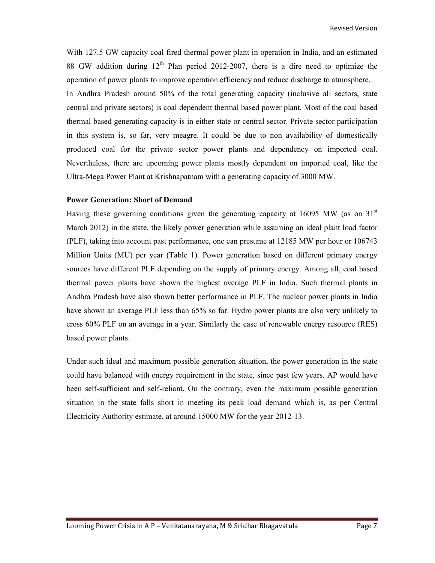With 127.5 GW capacity coal fired thermal power plant in operation in India, and an estimated 88 GW addition during  $12<sup>th</sup>$  Plan period 2012-2007, there is a dire need to optimize the operation of power plants to improve operation efficiency and reduce discharge to atmosphere. In Andhra Pradesh around 50% of the total generating capacity (inclusive all sectors, state central and private sectors) is coal dependent thermal based power plant. Most of the coal based thermal based generating capacity is in either state or central sector. Private sector participation in this system is, so far, very meagre. It could be due to non availability of domestically produced coal for the private sector power plants and dependency on imported coal. Nevertheless, there are upcoming power plants mostly dependent on imported coal, like the Ultra-Mega Power Plant at Krishnapatnam with a generating capacity of 3000 MW.

#### **Power Generation: Short of Demand**

Having these governing conditions given the generating capacity at 16095 MW (as on  $31<sup>st</sup>$ March 2012) in the state, the likely power generation while assuming an ideal plant load factor (PLF), taking into account past performance, one can presume at 12185 MW per hour or 106743 Million Units (MU) per year (Table 1). Power generation based on different primary energy sources have different PLF depending on the supply of primary energy. Among all, coal based thermal power plants have shown the highest average PLF in India. Such thermal plants in Andhra Pradesh have also shown better performance in PLF. The nuclear power plants in India have shown an average PLF less than 65% so far. Hydro power plants are also very unlikely to cross 60% PLF on an average in a year. Similarly the case of renewable energy resource (RES) based power plants.

Under such ideal and maximum possible generation situation, the power generation in the state could have balanced with energy requirement in the state, since past few years. AP would have been self-sufficient and self-reliant. On the contrary, even the maximum possible generation situation in the state falls short in meeting its peak load demand which is, as per Central Electricity Authority estimate, at around 15000 MW for the year 2012-13.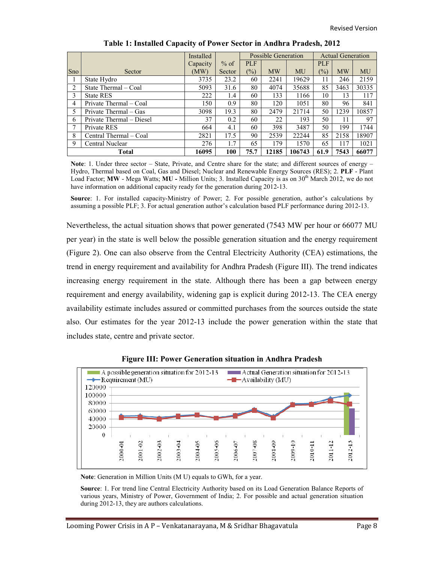|              |                          | Installed |        | <b>Possible Generation</b> |           |        | <b>Actual Generation</b> |           |       |
|--------------|--------------------------|-----------|--------|----------------------------|-----------|--------|--------------------------|-----------|-------|
|              |                          | Capacity  | $%$ of | <b>PLF</b>                 |           |        | <b>PLF</b>               |           |       |
| <b>Sno</b>   | Sector                   | (MW)      | Sector | $(\%)$                     | <b>MW</b> | MU     | (%)                      | <b>MW</b> | MU    |
|              | State Hydro              | 3735      | 23.2   | 60                         | 2241      | 19629  | 11                       | 246       | 2159  |
| 2            | State Thermal – Coal     | 5093      | 31.6   | 80                         | 4074      | 35688  | 85                       | 3463      | 30335 |
| 3            | <b>State RES</b>         | 222       | 1.4    | 60                         | 133       | 1166   | 10                       | 13        | 117   |
| 4            | Private Thermal – Coal   | 150       | 0.9    | 80                         | 120       | 1051   | 80                       | 96        | 841   |
| 5            | Private Thermal – Gas    | 3098      | 19.3   | 80                         | 2479      | 21714  | 50                       | 1239      | 10857 |
| 6            | Private Thermal – Diesel | 37        | 0.2    | 60                         | 22        | 193    | 50                       | 11        | 97    |
|              | Private RES              | 664       | 4.1    | 60                         | 398       | 3487   | 50                       | 199       | 1744  |
| 8            | Central Thermal – Coal   | 2821      | 17.5   | 90                         | 2539      | 22244  | 85                       | 2158      | 18907 |
| 9            | Central Nuclear          | 276       | 1.7    | 65                         | 179       | 1570   | 65                       | 117       | 1021  |
| <b>Total</b> |                          | 16095     | 100    | 75.7                       | 12185     | 106743 | 61.9                     | 7543      | 66077 |

| Table 1: Installed Capacity of Power Sector in Andhra Pradesh, 2012 |  |  |  |
|---------------------------------------------------------------------|--|--|--|
|                                                                     |  |  |  |

Note: 1. Under three sector – State, Private, and Centre share for the state; and different sources of energy – Hydro, Thermal based on Coal, Gas and Diesel; Nuclear and Renewable Energy Sources (RES); 2. **PLF** - Plant Load Factor; **MW** - Mega Watts; **MU** - Million Units; 3. Installed Capacity is as on 30<sup>th</sup> March 2012, we do not have information on additional capacity ready for the generation during 2012-13.

**Source**: 1. For installed capacity-Ministry of Power; 2. For possible generation, author's calculations by assuming a possible PLF; 3. For actual generation author's calculation based PLF performance during 2012-13.

Nevertheless, the actual situation shows that power generated (7543 MW per hour or 66077 MU per year) in the state is well below the possible generation situation and the energy requirement (Figure 2). One can also observe from the Central Electricity Authority (CEA) estimations, the trend in energy requirement and availability for Andhra Pradesh (Figure III). The trend indicates increasing energy requirement in the state. Although there has been a gap between energy requirement and energy availability, widening gap is explicit during 2012-13. The CEA energy availability estimate includes assured or committed purchases from the sources outside the state also. Our estimates for the year 2012-13 include the power generation within the state that includes state, centre and private sector.



**Figure III: Power Generation situation in Andhra Pradesh** 

**Note**: Generation in Million Units (M U) equals to GWh, for a year.

**Source**: 1. For trend line Central Electricity Authority based on its Load Generation Balance Reports of various years, Ministry of Power, Government of India; 2. For possible and actual generation situation during 2012-13, they are authors calculations.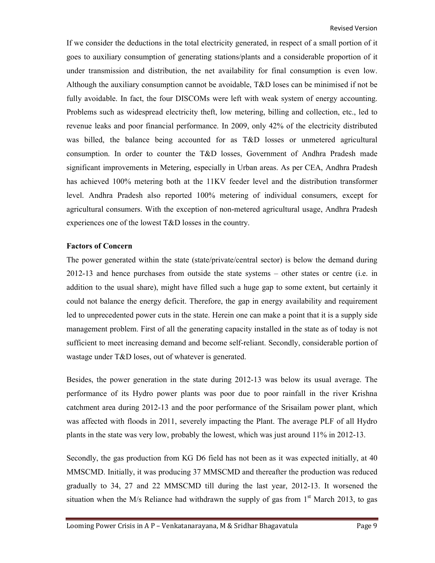If we consider the deductions in the total electricity generated, in respect of a small portion of it goes to auxiliary consumption of generating stations/plants and a considerable proportion of it under transmission and distribution, the net availability for final consumption is even low. Although the auxiliary consumption cannot be avoidable, T&D loses can be minimised if not be fully avoidable. In fact, the four DISCOMs were left with weak system of energy accounting. Problems such as widespread electricity theft, low metering, billing and collection, etc., led to revenue leaks and poor financial performance. In 2009, only 42% of the electricity distributed was billed, the balance being accounted for as T&D losses or unmetered agricultural consumption. In order to counter the T&D losses, Government of Andhra Pradesh made significant improvements in Metering, especially in Urban areas. As per CEA, Andhra Pradesh has achieved 100% metering both at the 11KV feeder level and the distribution transformer level. Andhra Pradesh also reported 100% metering of individual consumers, except for agricultural consumers. With the exception of non-metered agricultural usage, Andhra Pradesh experiences one of the lowest T&D losses in the country.

## **Factors of Concern**

The power generated within the state (state/private/central sector) is below the demand during 2012-13 and hence purchases from outside the state systems – other states or centre (i.e. in addition to the usual share), might have filled such a huge gap to some extent, but certainly it could not balance the energy deficit. Therefore, the gap in energy availability and requirement led to unprecedented power cuts in the state. Herein one can make a point that it is a supply side management problem. First of all the generating capacity installed in the state as of today is not sufficient to meet increasing demand and become self-reliant. Secondly, considerable portion of wastage under T&D loses, out of whatever is generated.

Besides, the power generation in the state during 2012-13 was below its usual average. The performance of its Hydro power plants was poor due to poor rainfall in the river Krishna catchment area during 2012-13 and the poor performance of the Srisailam power plant, which was affected with floods in 2011, severely impacting the Plant. The average PLF of all Hydro plants in the state was very low, probably the lowest, which was just around 11% in 2012-13.

Secondly, the gas production from KG D6 field has not been as it was expected initially, at 40 MMSCMD. Initially, it was producing 37 MMSCMD and thereafter the production was reduced gradually to 34, 27 and 22 MMSCMD till during the last year, 2012-13. It worsened the situation when the M/s Reliance had withdrawn the supply of gas from  $1<sup>st</sup>$  March 2013, to gas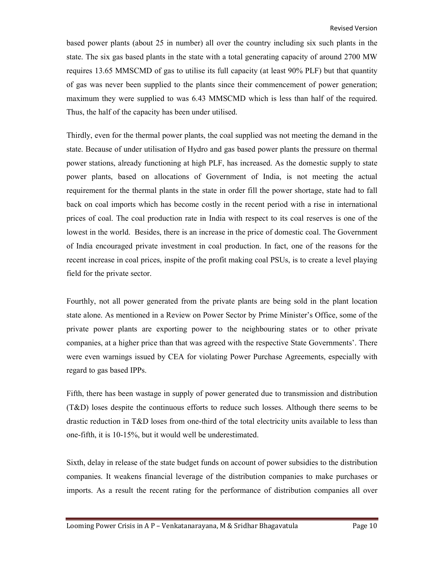based power plants (about 25 in number) all over the country including six such plants in the state. The six gas based plants in the state with a total generating capacity of around 2700 MW requires 13.65 MMSCMD of gas to utilise its full capacity (at least 90% PLF) but that quantity of gas was never been supplied to the plants since their commencement of power generation; maximum they were supplied to was 6.43 MMSCMD which is less than half of the required. Thus, the half of the capacity has been under utilised.

Thirdly, even for the thermal power plants, the coal supplied was not meeting the demand in the state. Because of under utilisation of Hydro and gas based power plants the pressure on thermal power stations, already functioning at high PLF, has increased. As the domestic supply to state power plants, based on allocations of Government of India, is not meeting the actual requirement for the thermal plants in the state in order fill the power shortage, state had to fall back on coal imports which has become costly in the recent period with a rise in international prices of coal. The coal production rate in India with respect to its coal reserves is one of the lowest in the world. Besides, there is an increase in the price of domestic coal. The Government of India encouraged private investment in coal production. In fact, one of the reasons for the recent increase in coal prices, inspite of the profit making coal PSUs, is to create a level playing field for the private sector.

Fourthly, not all power generated from the private plants are being sold in the plant location state alone. As mentioned in a Review on Power Sector by Prime Minister's Office, some of the private power plants are exporting power to the neighbouring states or to other private companies, at a higher price than that was agreed with the respective State Governments'. There were even warnings issued by CEA for violating Power Purchase Agreements, especially with regard to gas based IPPs.

Fifth, there has been wastage in supply of power generated due to transmission and distribution (T&D) loses despite the continuous efforts to reduce such losses. Although there seems to be drastic reduction in T&D loses from one-third of the total electricity units available to less than one-fifth, it is 10-15%, but it would well be underestimated.

Sixth, delay in release of the state budget funds on account of power subsidies to the distribution companies. It weakens financial leverage of the distribution companies to make purchases or imports. As a result the recent rating for the performance of distribution companies all over